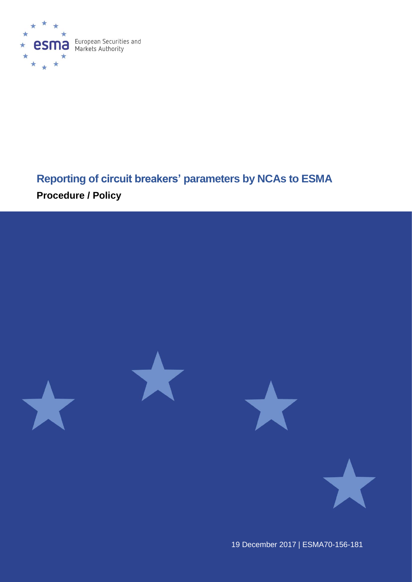

# **Reporting of circuit breakers' parameters by NCAs to ESMA Procedure / Policy**



19 December 2017 | ESMA70-156-181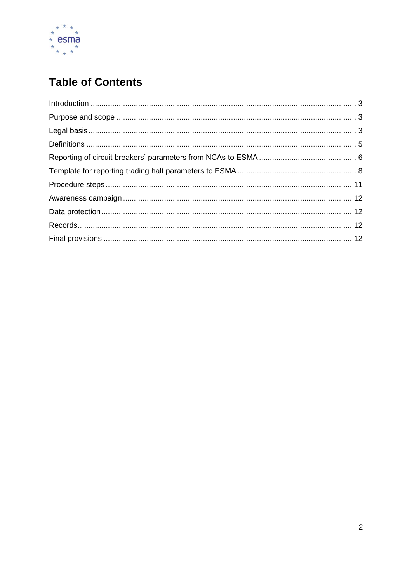

# **Table of Contents**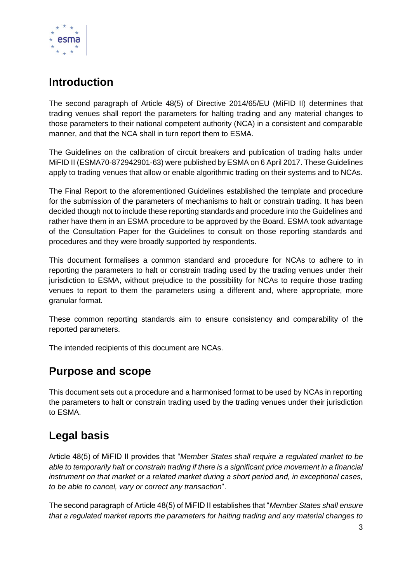

## <span id="page-2-0"></span>**Introduction**

The second paragraph of Article 48(5) of Directive 2014/65/EU (MiFID II) determines that trading venues shall report the parameters for halting trading and any material changes to those parameters to their national competent authority (NCA) in a consistent and comparable manner, and that the NCA shall in turn report them to ESMA.

The Guidelines on the calibration of circuit breakers and publication of trading halts under MiFID II (ESMA70-872942901-63) were published by ESMA on 6 April 2017. These Guidelines apply to trading venues that allow or enable algorithmic trading on their systems and to NCAs.

The Final Report to the aforementioned Guidelines established the template and procedure for the submission of the parameters of mechanisms to halt or constrain trading. It has been decided though not to include these reporting standards and procedure into the Guidelines and rather have them in an ESMA procedure to be approved by the Board. ESMA took advantage of the Consultation Paper for the Guidelines to consult on those reporting standards and procedures and they were broadly supported by respondents.

This document formalises a common standard and procedure for NCAs to adhere to in reporting the parameters to halt or constrain trading used by the trading venues under their jurisdiction to ESMA, without prejudice to the possibility for NCAs to require those trading venues to report to them the parameters using a different and, where appropriate, more granular format.

These common reporting standards aim to ensure consistency and comparability of the reported parameters.

The intended recipients of this document are NCAs.

#### <span id="page-2-1"></span>**Purpose and scope**

This document sets out a procedure and a harmonised format to be used by NCAs in reporting the parameters to halt or constrain trading used by the trading venues under their jurisdiction to ESMA.

#### <span id="page-2-2"></span>**Legal basis**

Article 48(5) of MiFID II provides that "*Member States shall require a regulated market to be able to temporarily halt or constrain trading if there is a significant price movement in a financial instrument on that market or a related market during a short period and, in exceptional cases, to be able to cancel, vary or correct any transaction*".

The second paragraph of Article 48(5) of MiFID II establishes that "*Member States shall ensure that a regulated market reports the parameters for halting trading and any material changes to*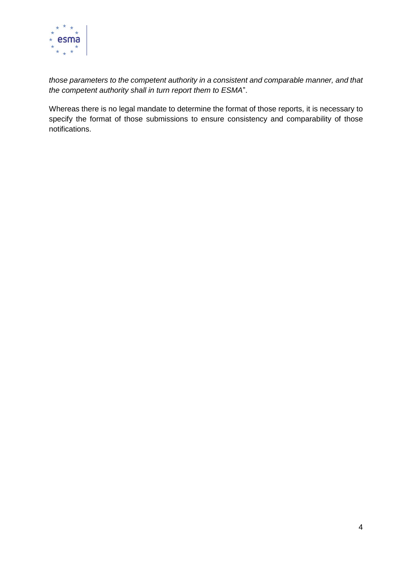

*those parameters to the competent authority in a consistent and comparable manner, and that the competent authority shall in turn report them to ESMA*".

Whereas there is no legal mandate to determine the format of those reports, it is necessary to specify the format of those submissions to ensure consistency and comparability of those notifications.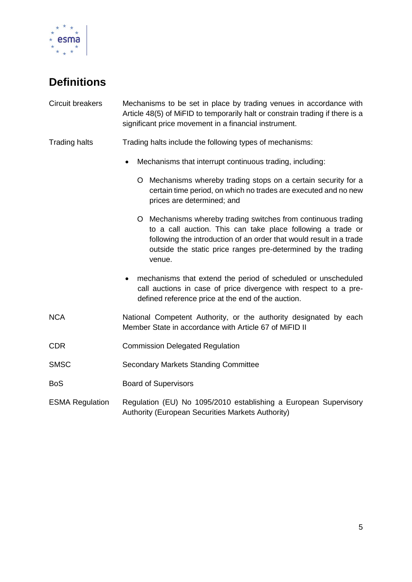

# <span id="page-4-0"></span>**Definitions**

| Circuit breakers       | Mechanisms to be set in place by trading venues in accordance with<br>Article 48(5) of MiFID to temporarily halt or constrain trading if there is a<br>significant price movement in a financial instrument.                                                                   |
|------------------------|--------------------------------------------------------------------------------------------------------------------------------------------------------------------------------------------------------------------------------------------------------------------------------|
| <b>Trading halts</b>   | Trading halts include the following types of mechanisms:                                                                                                                                                                                                                       |
|                        | Mechanisms that interrupt continuous trading, including:<br>$\bullet$                                                                                                                                                                                                          |
|                        | Mechanisms whereby trading stops on a certain security for a<br>O<br>certain time period, on which no trades are executed and no new<br>prices are determined; and                                                                                                             |
|                        | O Mechanisms whereby trading switches from continuous trading<br>to a call auction. This can take place following a trade or<br>following the introduction of an order that would result in a trade<br>outside the static price ranges pre-determined by the trading<br>venue. |
|                        | mechanisms that extend the period of scheduled or unscheduled<br>٠<br>call auctions in case of price divergence with respect to a pre-<br>defined reference price at the end of the auction.                                                                                   |
| <b>NCA</b>             | National Competent Authority, or the authority designated by each<br>Member State in accordance with Article 67 of MiFID II                                                                                                                                                    |
| <b>CDR</b>             | <b>Commission Delegated Regulation</b>                                                                                                                                                                                                                                         |
| <b>SMSC</b>            | <b>Secondary Markets Standing Committee</b>                                                                                                                                                                                                                                    |
| <b>BoS</b>             | <b>Board of Supervisors</b>                                                                                                                                                                                                                                                    |
| <b>ESMA Regulation</b> | Regulation (EU) No 1095/2010 establishing a European Supervisory<br>Authority (European Securities Markets Authority)                                                                                                                                                          |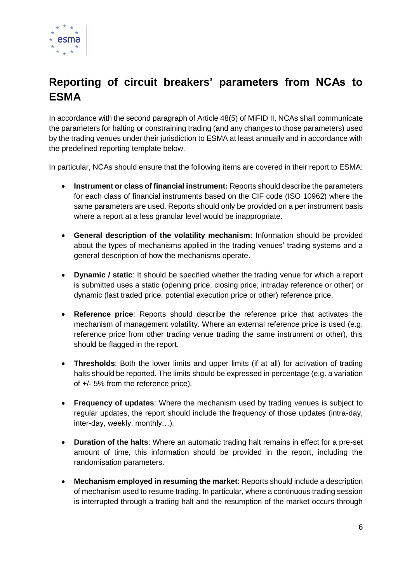

## <span id="page-5-0"></span>**Reporting of circuit breakers' parameters from NCAs to ESMA**

In accordance with the second paragraph of Article 48(5) of MiFID II, NCAs shall communicate the parameters for halting or constraining trading (and any changes to those parameters) used by the trading venues under their jurisdiction to ESMA at least annually and in accordance with the predefined reporting template below.

In particular, NCAs should ensure that the following items are covered in their report to ESMA:

- **Instrument or class of financial instrument:** Reports should describe the parameters for each class of financial instruments based on the CIF code (ISO 10962) where the same parameters are used. Reports should only be provided on a per instrument basis where a report at a less granular level would be inappropriate.
- **General description of the volatility mechanism**: Information should be provided about the types of mechanisms applied in the trading venues' trading systems and a general description of how the mechanisms operate.
- **Dynamic / static**: It should be specified whether the trading venue for which a report is submitted uses a static (opening price, closing price, intraday reference or other) or dynamic (last traded price, potential execution price or other) reference price.
- **Reference price**: Reports should describe the reference price that activates the mechanism of management volatility. Where an external reference price is used (e.g. reference price from other trading venue trading the same instrument or other), this should be flagged in the report.
- **Thresholds**: Both the lower limits and upper limits (if at all) for activation of trading halts should be reported. The limits should be expressed in percentage (e.g. a variation of +/- 5% from the reference price).
- **Frequency of updates**: Where the mechanism used by trading venues is subject to regular updates, the report should include the frequency of those updates (intra-day, inter-day, weekly, monthly…).
- **Duration of the halts**: Where an automatic trading halt remains in effect for a pre-set amount of time, this information should be provided in the report, including the randomisation parameters.
- **Mechanism employed in resuming the market**: Reports should include a description of mechanism used to resume trading. In particular, where a continuous trading session is interrupted through a trading halt and the resumption of the market occurs through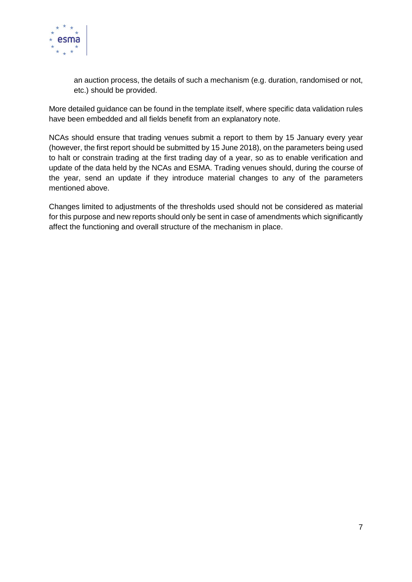

an auction process, the details of such a mechanism (e.g. duration, randomised or not, etc.) should be provided.

More detailed guidance can be found in the template itself, where specific data validation rules have been embedded and all fields benefit from an explanatory note.

NCAs should ensure that trading venues submit a report to them by 15 January every year (however, the first report should be submitted by 15 June 2018), on the parameters being used to halt or constrain trading at the first trading day of a year, so as to enable verification and update of the data held by the NCAs and ESMA. Trading venues should, during the course of the year, send an update if they introduce material changes to any of the parameters mentioned above.

Changes limited to adjustments of the thresholds used should not be considered as material for this purpose and new reports should only be sent in case of amendments which significantly affect the functioning and overall structure of the mechanism in place.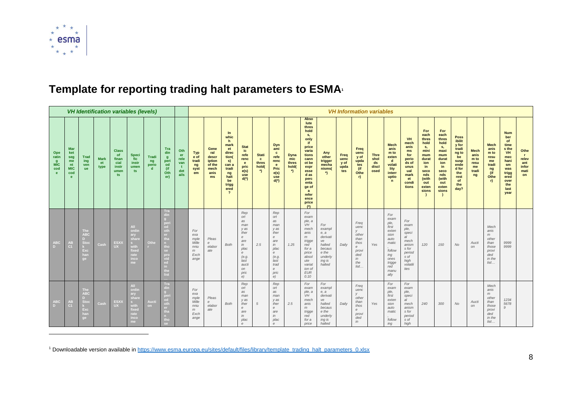

## Template for reporting trading halt parameters to ESMA

| <b>VH Identification variables (levels)</b> |                                                                |                                                                  |                           |                                                                   |                                                                            |                                     |                                                                                                           |                                         | <b>VH Information variables</b>                          |                                                                |                                                                                                                                            |                                                                                                                                                |                                                |                                                                                                                                             |                                                  |                                                                                                                                                                                                   |                                                                                                          |                                     |                                                                                                           |                                            |                                                                                                                          |                                                                                                            |                                                                                                                          |                                                                                                                          |                                                                                                                     |                                                          |                                                                                |                                                                                                                            |                                                             |
|---------------------------------------------|----------------------------------------------------------------|------------------------------------------------------------------|---------------------------|-------------------------------------------------------------------|----------------------------------------------------------------------------|-------------------------------------|-----------------------------------------------------------------------------------------------------------|-----------------------------------------|----------------------------------------------------------|----------------------------------------------------------------|--------------------------------------------------------------------------------------------------------------------------------------------|------------------------------------------------------------------------------------------------------------------------------------------------|------------------------------------------------|---------------------------------------------------------------------------------------------------------------------------------------------|--------------------------------------------------|---------------------------------------------------------------------------------------------------------------------------------------------------------------------------------------------------|----------------------------------------------------------------------------------------------------------|-------------------------------------|-----------------------------------------------------------------------------------------------------------|--------------------------------------------|--------------------------------------------------------------------------------------------------------------------------|------------------------------------------------------------------------------------------------------------|--------------------------------------------------------------------------------------------------------------------------|--------------------------------------------------------------------------------------------------------------------------|---------------------------------------------------------------------------------------------------------------------|----------------------------------------------------------|--------------------------------------------------------------------------------|----------------------------------------------------------------------------------------------------------------------------|-------------------------------------------------------------|
| Ope<br>ratin<br>q<br><b>MIC</b><br>cod<br>e | <b>Mar</b><br>ket<br>seg<br>me<br>nt<br><b>MIC</b><br>cod<br>e | Trad<br>ing<br>ven<br><b>ue</b>                                  | <b>Mark</b><br>et<br>type | <b>Class</b><br><b>of</b><br>finan<br>cial<br>instr<br>umen<br>ts | Speci<br>fic<br><i>instr</i><br>umen<br>ts                                 | Tradi<br>ng<br>perio<br>$\mathbf d$ | Tra<br>din<br>-9<br>peri<br>od<br>(if<br>Oth<br>er)                                                       | Oth<br>er<br>rele<br>van<br>det<br>ails | <b>Typ</b><br>e of<br>tradi<br>ng<br>syst<br>em          | Gene<br>ral<br>descr<br>iption<br>of the<br>mech<br>anis<br>ms | $\ln$<br>whic<br>h<br>mark<br>et<br>direc<br>tion(<br>s)<br>can a<br>tradi<br>ng<br>halt<br>be<br>trigg<br>ered<br>$\overline{\mathbf{?}}$ | <b>Stat</b><br>ic<br>refe<br>renc<br>$\mathbf{e}$<br>pric<br>e(s)<br>use<br>$d(*)$                                                             | <b>Stati</b><br>$\mathbf{c}$<br>thres<br>hold( | <b>Dyn</b><br>ami<br>$\mathbf{c}$<br>refe<br>renc<br>e.<br>Pric<br>e(s)<br>use<br>$d(*)$                                                    | <b>Dyna</b><br>mic<br>thres<br>hold(<br>$\gamma$ | Abso<br>lute<br>thres<br>hold<br>S,<br>only<br>if<br>price<br>varia<br>tions<br>cann<br>ot be<br>expr<br>esse<br>d as<br>perc<br>enta<br>ge of<br>$\mathbf{a}$<br>refer<br>ence<br>price<br>$(*)$ | Any<br>other<br>trigger<br>mecha<br>nisms(<br>$\ddot{\ }$                                                | Freq<br>uenc<br>y of<br>upda<br>tes | Freq<br>uenc<br>y of<br>upda<br>tes<br>(if<br>Othe<br>r                                                   | <b>Thre</b><br>shol<br>ds<br>discl<br>osed | <b>Mech</b><br>anis<br>m to<br>exten<br>$\mathbf d$<br>volati<br>lity<br>interr<br>uptio<br>$\mathbf n$                  | <b>VH</b><br>mech<br>anis<br>ms<br>for<br>perio<br>ds of<br>unus<br>ual<br>mark<br>et<br>condi<br>tions    | For<br>each<br>thres<br>hold<br>s,<br>mini<br>mum<br>durat<br>ion<br>in<br>seco<br>nds<br>(with<br>out<br>exten<br>sions | For<br>each<br>thres<br>hold<br>s,<br>maxi<br>mum<br>durat<br>ion<br>in<br>seco<br>nds<br>(with<br>out<br>exten<br>sions | <b>Poss</b><br>ibilit<br>y for<br>tradi<br>ng to<br>be<br>susp<br>ende<br>d for<br>the<br>rest<br>of<br>the<br>day? | <b>Mech</b><br>anis<br>m to<br>resu<br>me<br>tradi<br>ng | <b>Mech</b><br>anis<br>m to<br>resu<br>me<br>tradi<br>ng<br>(i)<br>Othe<br>r   | <b>Num</b><br>ber<br>of<br>time<br>s the<br>VH<br>mec<br>hani<br>sm<br>was<br>trigg<br>ered<br>over<br>the<br>last<br>year | Othe<br>$\mathbf{r}$<br>relev<br>ant<br>infor<br>mati<br>on |
| <b>ABC</b><br>D.                            | AB<br>C <sub>1</sub>                                           | The<br><b>ABC</b><br><b>Sto</b><br>Exc<br>han<br>ge              | Cash                      | ESXX<br><b>UX</b>                                                 | All<br>ordin<br>ary<br>share<br>with<br>fixed<br>rate<br>inco<br>me        | Othe                                | Tra<br>din<br>peri<br>od<br>oth<br>er<br>tha<br>n.<br>tho<br>se<br>pro<br>vid<br>ed<br>in.<br>the<br>list |                                         | For<br>exa<br>mple<br>Mille<br>nniu<br>m<br>Exch<br>ange | Pleas<br>$\epsilon$<br>elabor<br>ate                           | <b>Both</b>                                                                                                                                | Rep<br>ort<br>as<br>man<br>y as<br>ther<br>$\epsilon$<br>are<br>in<br>plac<br>$\epsilon$<br>(e.g.<br>last<br>aucti<br>on<br>pric<br>$\epsilon$ | 2.5                                            | Rep<br>ort<br>as<br>man<br>y as<br>ther<br>$\theta$<br>are<br>in<br>plac<br>$\mathbf{e}$<br>(e.g.<br>last<br>trad<br>$\theta$<br>pric<br>e) | 1.25                                             | For<br>exam<br>ple, a<br>VH<br>mech<br>anis<br>m<br>trigge<br>red<br>for a<br>price<br>absol<br>ute<br>variat<br>ion of<br>$E$ UR<br>0.10                                                         | For<br>exampl<br>$e$ , $a$<br>derivati<br>ve<br>halted<br>becaus<br>e the<br>underly<br>ing is<br>halted | Daily                               | Freq<br>uenc<br>$\mathbf{V}$<br>other<br>than<br>thos<br>$\epsilon$<br>provi<br>ded<br>in<br>the<br>list. | Yes                                        | For<br>exam<br>ple,<br>first<br>exten<br>sion<br>auto<br>matic<br>follow<br>ing<br>ones<br>trigge<br>red<br>manu<br>ally | For<br>exam<br>ple,<br>speci<br>al<br>mech<br>anism<br>s for<br>period<br>s of<br>high<br>volatili<br>ties | 120                                                                                                                      | 150                                                                                                                      | No                                                                                                                  | Aucti<br>on                                              | Mech<br>anis<br>m<br>other<br>than<br>those<br>provi<br>ded<br>in the<br>list. | 9999<br>9999                                                                                                               |                                                             |
| <b>ABC</b><br>D.                            | <b>AB</b><br>C <sub>1</sub>                                    | <b>The</b><br><b>ABC</b><br>D<br><b>Stor</b><br>Exc<br>han<br>ge | Cash                      | ESXX<br><b>UX</b>                                                 | <b>All</b><br>ordin<br>ary<br>share<br>with<br>fixed<br>rate<br>inco<br>me | Aucti<br>on.                        | Tra<br>din<br>per<br>od<br>oth<br>er<br>tha<br>n<br>tho<br>se                                             |                                         | For<br>exa<br>mple<br>Mille<br>nniu<br>m<br>Exch<br>ange | Pleas<br>e<br>elabor<br>ate                                    | Both                                                                                                                                       | Rep<br>ort<br>as<br>man<br>y as<br>ther<br>$\boldsymbol{e}$<br>are<br>in<br>plac<br>$\epsilon$                                                 | 5                                              | Rep<br>ort<br>as<br>man<br>y as<br>ther<br>$\epsilon$<br>are<br>in<br>plac<br>$\epsilon$                                                    | 2.5                                              | For<br>exam<br>ple, a<br>VH<br>mech<br>anis<br>m<br>trigge<br>red<br>for a<br>price                                                                                                               | For<br>exampl<br>$e$ , $a$<br>derivati<br>ve<br>halted<br>becaus<br>e the<br>underly<br>ing is<br>halted | Daily                               | Freq<br>uenc<br>V<br>other<br>than<br>thos<br>$\epsilon$<br>provi<br>ded<br>in                            | Yes                                        | For<br>exam<br>ple,<br>first<br>exten<br>sion<br>auto<br>matic<br>follow<br>ing                                          | For<br>exam<br>ple,<br>speci<br>al<br>mech<br>anism<br>s for<br>period<br>s of<br>high                     | 240                                                                                                                      | 300                                                                                                                      | No                                                                                                                  | Aucti<br>on                                              | Mech<br>anis<br>m<br>other<br>than<br>those<br>provi<br>ded<br>in the<br>list. | 1234<br>5678<br>9                                                                                                          |                                                             |

<span id="page-7-0"></span><sup>1</sup> Downloadable version available in https://www.esma.europa.eu/sites/default/files/library/template\_trading\_halt\_parameters\_0.xlsx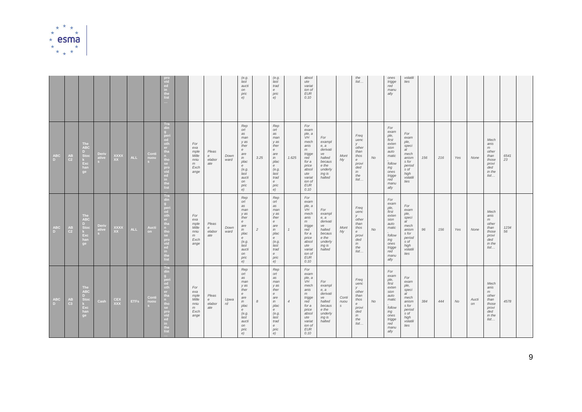

|                      |                                                           |                                                                   |                     |                          |             |               | pro<br>vid<br>ed<br>in<br>the<br>list                                                                    |                                                          |                                            |              | (e.g.<br>last<br>aucti<br>on<br>pric<br>e)                                                                                             |                | (e.g.<br>last<br>trad<br>e<br>pric<br>e)                                                                                          |                | absol<br>ute<br>variat<br>ion of<br>$E$ UR<br>0.10                                                                                        |                                                                                                          |                                | the<br>list                                                                           |           | ones<br>trigge<br>red<br>manu<br>ally                                                                                    | volatili<br>ties                                                                                           |     |     |     |             |                                                                               |            |  |
|----------------------|-----------------------------------------------------------|-------------------------------------------------------------------|---------------------|--------------------------|-------------|---------------|----------------------------------------------------------------------------------------------------------|----------------------------------------------------------|--------------------------------------------|--------------|----------------------------------------------------------------------------------------------------------------------------------------|----------------|-----------------------------------------------------------------------------------------------------------------------------------|----------------|-------------------------------------------------------------------------------------------------------------------------------------------|----------------------------------------------------------------------------------------------------------|--------------------------------|---------------------------------------------------------------------------------------|-----------|--------------------------------------------------------------------------------------------------------------------------|------------------------------------------------------------------------------------------------------------|-----|-----|-----|-------------|-------------------------------------------------------------------------------|------------|--|
| <b>ABC</b><br>$\Box$ | $\overset{\mathsf{AB}}{\mathsf{C}2}$                      | The ABC<br>D.<br>$\frac{a}{k}$ Exc<br>han<br>ge                   | Derive<br>ative     | <b>XXXX</b><br>XX.       | <b>ALL</b>  | Cont<br>nuou  | Tra<br>din<br>per<br>od<br>oth<br>tha<br>tho<br>se<br>$_{\rm vid}^{\rm pro}$<br>ed<br>in.<br>the<br>list | For<br>exa<br>mple<br>Mille<br>nniu<br>m<br>Exch<br>ange | Pleas<br>$\boldsymbol{e}$<br>elabor<br>ate | Down<br>ward | Rep<br>ort<br>as<br>man<br>y as<br>ther<br>$\epsilon$<br>are<br>in<br>plac<br>e<br>(e.g.<br>last<br>aucti<br>on<br>pric<br>e)          | 3.25           | Rep<br>ort<br>as<br>man<br>y as<br>ther<br>$\boldsymbol{e}$<br>are<br>in<br>plac<br>e<br>(e.g.<br>last<br>trad<br>e<br>pric<br>e) | 1.625          | For<br>exam<br>ple, a<br>VH<br>mech<br>anis<br>m<br>trigge<br>red<br>for a<br>price<br>absol<br>ute<br>variat<br>ion of<br>$E$ UR<br>0.10 | For<br>exampl<br>$e$ , $a$<br>derivati<br>ve<br>halted<br>becaus<br>e the<br>underly<br>ing is<br>halted | Mont<br>hly                    | Freq<br>uenc<br>V.<br>other<br>than<br>thos<br>e<br>provi<br>ded<br>in<br>the<br>list | <b>No</b> | For<br>exam<br>ple,<br>first<br>exten<br>sion<br>auto<br>matic<br>follow<br>ing<br>ones<br>trigge<br>red<br>manu<br>ally | For<br>exam<br>ple,<br>speci<br>al<br>mech<br>anism<br>s for<br>period<br>s of<br>high<br>volatili<br>ties | 156 | 216 | Yes | None        | Mech<br>anis<br>m<br>other<br>than<br>those<br>provi<br>ded<br>in the<br>list | 6541<br>23 |  |
| <b>ABC</b><br>$\Box$ | $\begin{array}{c} \texttt{AB} \\ \texttt{C2} \end{array}$ | The<br><b>ABC</b><br>D.<br>Stoc<br>k<br>Exc<br>han<br>ge          | Deriv<br>ative<br>S | <b>XXXX</b><br><b>XX</b> | <b>ALL</b>  | Aucti<br>on - | Tra<br>din<br>peri<br>od<br>oth<br>er.<br>tha<br>tho<br>se.<br>pro<br>vid<br>ed<br>in<br>the<br>list     | For<br>exa<br>mple<br>Mille<br>nniu<br>m<br>Exch<br>ange | Pleas<br>$\boldsymbol{e}$<br>elabor<br>ate | Down<br>ward | Rep<br>ort<br>as<br>man<br>y as<br>ther<br>$\epsilon$<br>are<br>in<br>plac<br>$\epsilon$<br>(e.g.<br>last<br>aucti<br>on<br>pric<br>e) | $\overline{c}$ | Rep<br>ort<br>as<br>man<br>y as<br>ther<br>e<br>are<br>in<br>plac<br>e<br>(e.g.<br>last<br>trad<br>e<br>pric<br>e)                | $\mathcal{I}$  | For<br>exam<br>ple, a<br>VH<br>mech<br>anis<br>m<br>trigge<br>red<br>for a<br>price<br>absol<br>ute<br>variat<br>ion of<br>$E$ UR<br>0.10 | For<br>exampl<br>e, a<br>derivati<br>ve<br>halted<br>becaus<br>e the<br>underly<br>ing is<br>halted      | Mont<br>hly                    | Freq<br>uenc<br>y<br>other<br>than<br>thos<br>e<br>provi<br>ded<br>in<br>the<br>list  | No        | For<br>exam<br>ple,<br>first<br>exten<br>sion<br>auto<br>matic<br>follow<br>ing<br>ones<br>trigge<br>red<br>manu<br>ally | For<br>exam<br>ple,<br>speci<br>al<br>mech<br>anism<br>s for<br>period<br>s of<br>high<br>volatili<br>ties | 96  | 156 | Yes | None        | Mech<br>anis<br>m<br>other<br>than<br>those<br>provi<br>ded<br>in the<br>list | 1234<br>56 |  |
| <b>ABC</b><br>$\Box$ | $AB$ <sub>C3</sub>                                        | <b>The</b><br><b>ABC</b><br>D.<br>Stoc<br>$k$<br>Exc<br>han<br>ge | Cash                | <b>CEX</b><br><b>XXX</b> | <b>ETFs</b> | Conti<br>nuou | Tra<br>din<br>peri<br>od<br>oth<br>tha<br>tho<br>pro<br>vid<br>ed<br>in.<br>the<br>list                  | For<br>exa<br>mple<br>Mille<br>nniu<br>m<br>Exch<br>ange | Pleas<br>$\boldsymbol{e}$<br>elabor<br>ate | Upwa<br>rd   | Rep<br>ort<br>as<br>man<br>y as<br>ther<br>$\epsilon$<br>are<br>in<br>plac<br>$\epsilon$<br>(e.g.<br>last<br>aucti<br>on<br>pric<br>e) | 8              | Rep<br>ort<br>as<br>man<br>y as<br>ther<br>e<br>are<br>in<br>plac<br>e<br>(e.g.<br>last<br>trad<br>e<br>pric<br>e)                | $\overline{4}$ | For<br>exam<br>ple, a<br>VH<br>mech<br>anis<br>m<br>trigge<br>red<br>for a<br>price<br>absol<br>ute<br>variat<br>ion of<br>$E$ UR<br>0.10 | For<br>exampl<br>$e$ , $a$<br>derivati<br>ve<br>halted<br>becaus<br>e the<br>underly<br>ing is<br>halted | Conti<br>nuou<br>$\mathcal{S}$ | Freq<br>uenc<br>V<br>other<br>than<br>thos<br>e<br>provi<br>ded<br>in<br>the<br>list  | No        | For<br>exam<br>ple,<br>first<br>exten<br>sion<br>auto<br>matic<br>follow<br>ing<br>ones<br>trigge<br>red<br>manu<br>ally | For<br>exam<br>ple.<br>speci<br>al<br>mech<br>anism<br>s for<br>period<br>s of<br>high<br>volatili<br>ties | 384 | 444 | No  | Aucti<br>on | Mech<br>anis<br>m<br>other<br>than<br>those<br>provi<br>ded<br>in the<br>list | 4578       |  |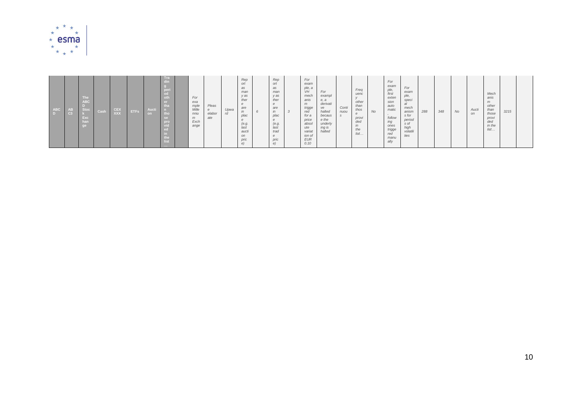

| <b>ABC</b><br><b>AB</b><br>C <sub>3</sub><br>$\overline{D}$ | – I ne<br><b>ABC</b><br>Stoc<br>Exc | Cash | CEX<br>$\overline{xx}$ | <b>ETFs</b> | Aucti<br>f on i | - Tra<br>oth<br>tho<br>se<br>pro<br>the<br>list |  | For<br>exa<br>mple<br>Mille<br>nniu<br>m<br>Exch<br>ange | Pleas<br>$\epsilon$<br>elabor<br>ate | Upwa<br>rd | Rep<br>ort<br>as<br>man<br>y as<br>ther<br>are<br>in<br>plac<br>(e.g.<br>last<br>aucti<br>on<br>pric<br>e) |  | Rep<br>ort<br>as<br>man<br>y as<br>ther<br>are<br>in<br>plac<br>(e.g.<br>last<br>trad<br>pric | $\overline{3}$ | For<br>exam<br>ple, a<br>VH<br>mech<br>anis<br>m<br>trigge<br>red<br>for a<br>price<br>absol<br>ute<br>variat<br>ion of<br><b>EUR</b><br>0.10 | For<br>exampl<br>$e$ , $a$<br>derivati<br>ve<br>halted<br>becaus<br>e the<br>underly<br>ing is<br>halted | Conti<br>nuou | Freq<br>uenc<br>other<br>than<br>thos<br>e<br>provi<br>ded<br>in<br>the<br>list | No | For<br>exam<br>ple,<br>first<br>exten<br>sion<br>auto<br>matic<br>follow<br>ing<br>ones<br>trigge<br>red<br>manu<br>ally | For<br>exam<br>ple,<br>speci<br>mech<br>anism<br>s for<br>period<br>s of<br>high<br>volatili<br>ties | 288 | 348 | No | Aucti<br>on | Mech<br>anis<br>m<br>other<br>than<br>those<br>provi<br>ded<br>in the<br>list | 3215 |  |
|-------------------------------------------------------------|-------------------------------------|------|------------------------|-------------|-----------------|-------------------------------------------------|--|----------------------------------------------------------|--------------------------------------|------------|------------------------------------------------------------------------------------------------------------|--|-----------------------------------------------------------------------------------------------|----------------|-----------------------------------------------------------------------------------------------------------------------------------------------|----------------------------------------------------------------------------------------------------------|---------------|---------------------------------------------------------------------------------|----|--------------------------------------------------------------------------------------------------------------------------|------------------------------------------------------------------------------------------------------|-----|-----|----|-------------|-------------------------------------------------------------------------------|------|--|
|-------------------------------------------------------------|-------------------------------------|------|------------------------|-------------|-----------------|-------------------------------------------------|--|----------------------------------------------------------|--------------------------------------|------------|------------------------------------------------------------------------------------------------------------|--|-----------------------------------------------------------------------------------------------|----------------|-----------------------------------------------------------------------------------------------------------------------------------------------|----------------------------------------------------------------------------------------------------------|---------------|---------------------------------------------------------------------------------|----|--------------------------------------------------------------------------------------------------------------------------|------------------------------------------------------------------------------------------------------|-----|-----|----|-------------|-------------------------------------------------------------------------------|------|--|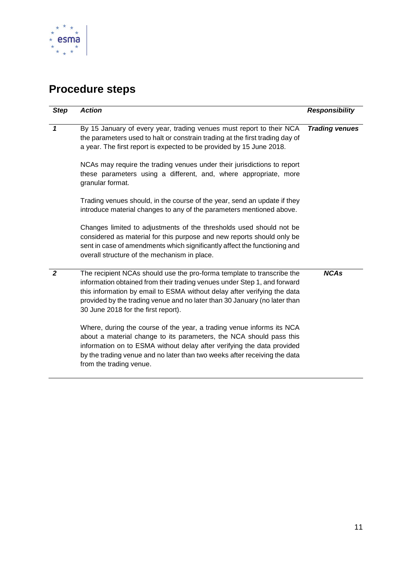

# <span id="page-10-0"></span>**Procedure steps**

| <b>Step</b>    | <b>Action</b>                                                                                                                                                                                                                                                                                                                                      | <b>Responsibility</b> |
|----------------|----------------------------------------------------------------------------------------------------------------------------------------------------------------------------------------------------------------------------------------------------------------------------------------------------------------------------------------------------|-----------------------|
| $\mathbf{1}$   | By 15 January of every year, trading venues must report to their NCA<br>the parameters used to halt or constrain trading at the first trading day of<br>a year. The first report is expected to be provided by 15 June 2018.                                                                                                                       | <b>Trading venues</b> |
|                | NCAs may require the trading venues under their jurisdictions to report<br>these parameters using a different, and, where appropriate, more<br>granular format.                                                                                                                                                                                    |                       |
|                | Trading venues should, in the course of the year, send an update if they<br>introduce material changes to any of the parameters mentioned above.                                                                                                                                                                                                   |                       |
|                | Changes limited to adjustments of the thresholds used should not be<br>considered as material for this purpose and new reports should only be<br>sent in case of amendments which significantly affect the functioning and<br>overall structure of the mechanism in place.                                                                         |                       |
| $\overline{2}$ | The recipient NCAs should use the pro-forma template to transcribe the<br>information obtained from their trading venues under Step 1, and forward<br>this information by email to ESMA without delay after verifying the data<br>provided by the trading venue and no later than 30 January (no later than<br>30 June 2018 for the first report). | <b>NCAs</b>           |
|                | Where, during the course of the year, a trading venue informs its NCA<br>about a material change to its parameters, the NCA should pass this<br>information on to ESMA without delay after verifying the data provided<br>by the trading venue and no later than two weeks after receiving the data<br>from the trading venue.                     |                       |